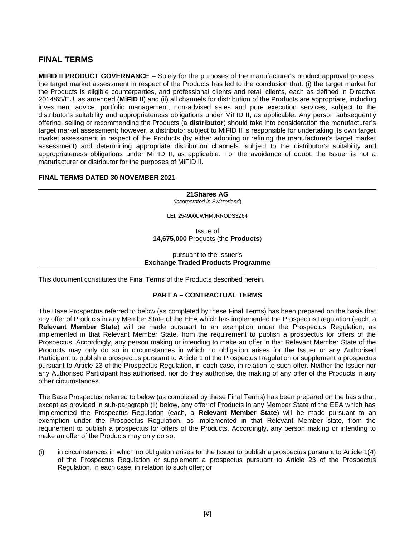# **FINAL TERMS**

**MIFID II PRODUCT GOVERNANCE** – Solely for the purposes of the manufacturer's product approval process, the target market assessment in respect of the Products has led to the conclusion that: (i) the target market for the Products is eligible counterparties, and professional clients and retail clients, each as defined in Directive 2014/65/EU, as amended (**MiFID II**) and (ii) all channels for distribution of the Products are appropriate, including investment advice, portfolio management, non-advised sales and pure execution services, subject to the distributor's suitability and appropriateness obligations under MiFID II, as applicable. Any person subsequently offering, selling or recommending the Products (a **distributor**) should take into consideration the manufacturer's target market assessment; however, a distributor subject to MiFID II is responsible for undertaking its own target market assessment in respect of the Products (by either adopting or refining the manufacturer's target market assessment) and determining appropriate distribution channels, subject to the distributor's suitability and appropriateness obligations under MiFID II, as applicable. For the avoidance of doubt, the Issuer is not a manufacturer or distributor for the purposes of MiFID II.

## **FINAL TERMS DATED 30 NOVEMBER 2021**

**21Shares AG** *(incorporated in Switzerland*)

LEI: 254900UWHMJRRODS3Z64

Issue of **14,675,000** Products (the **Products**)

#### pursuant to the Issuer's **Exchange Traded Products Programme**

This document constitutes the Final Terms of the Products described herein.

## **PART A – CONTRACTUAL TERMS**

The Base Prospectus referred to below (as completed by these Final Terms) has been prepared on the basis that any offer of Products in any Member State of the EEA which has implemented the Prospectus Regulation (each, a **Relevant Member State**) will be made pursuant to an exemption under the Prospectus Regulation, as implemented in that Relevant Member State, from the requirement to publish a prospectus for offers of the Prospectus. Accordingly, any person making or intending to make an offer in that Relevant Member State of the Products may only do so in circumstances in which no obligation arises for the Issuer or any Authorised Participant to publish a prospectus pursuant to Article 1 of the Prospectus Regulation or supplement a prospectus pursuant to Article 23 of the Prospectus Regulation, in each case, in relation to such offer. Neither the Issuer nor any Authorised Participant has authorised, nor do they authorise, the making of any offer of the Products in any other circumstances.

The Base Prospectus referred to below (as completed by these Final Terms) has been prepared on the basis that, except as provided in sub-paragraph (ii) below, any offer of Products in any Member State of the EEA which has implemented the Prospectus Regulation (each, a **Relevant Member State**) will be made pursuant to an exemption under the Prospectus Regulation, as implemented in that Relevant Member state, from the requirement to publish a prospectus for offers of the Products. Accordingly, any person making or intending to make an offer of the Products may only do so:

 $(i)$  in circumstances in which no obligation arises for the Issuer to publish a prospectus pursuant to Article  $1(4)$ of the Prospectus Regulation or supplement a prospectus pursuant to Article 23 of the Prospectus Regulation, in each case, in relation to such offer; or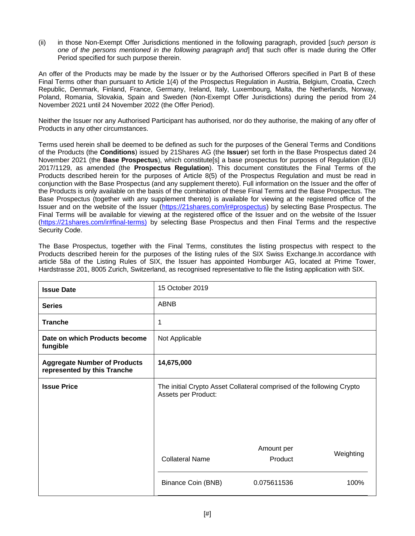(ii) in those Non-Exempt Offer Jurisdictions mentioned in the following paragraph, provided [*such person is one of the persons mentioned in the following paragraph and*] that such offer is made during the Offer Period specified for such purpose therein.

An offer of the Products may be made by the Issuer or by the Authorised Offerors specified in Part B of these Final Terms other than pursuant to Article 1(4) of the Prospectus Regulation in Austria, Belgium, Croatia, Czech Republic, Denmark, Finland, France, Germany, Ireland, Italy, Luxembourg, Malta, the Netherlands, Norway, Poland, Romania, Slovakia, Spain and Sweden (Non-Exempt Offer Jurisdictions) during the period from 24 November 2021 until 24 November 2022 (the Offer Period).

Neither the Issuer nor any Authorised Participant has authorised, nor do they authorise, the making of any offer of Products in any other circumstances.

Terms used herein shall be deemed to be defined as such for the purposes of the General Terms and Conditions of the Products (the **Conditions**) issued by 21Shares AG (the **Issuer**) set forth in the Base Prospectus dated 24 November 2021 (the **Base Prospectus**), which constitute[s] a base prospectus for purposes of Regulation (EU) 2017/1129, as amended (the **Prospectus Regulation**). This document constitutes the Final Terms of the Products described herein for the purposes of Article 8(5) of the Prospectus Regulation and must be read in conjunction with the Base Prospectus (and any supplement thereto). Full information on the Issuer and the offer of the Products is only available on the basis of the combination of these Final Terms and the Base Prospectus. The Base Prospectus (together with any supplement thereto) is available for viewing at the registered office of the Issuer and on the website of the Issuer (https://21shares.com/ir#prospectus) by selecting Base Prospectus. The Final Terms will be available for viewing at the registered office of the Issuer and on the website of the Issuer (https://21shares.com/ir#final-terms) by selecting Base Prospectus and then Final Terms and the respective Security Code.

The Base Prospectus, together with the Final Terms, constitutes the listing prospectus with respect to the Products described herein for the purposes of the listing rules of the SIX Swiss Exchange.In accordance with article 58a of the Listing Rules of SIX, the Issuer has appointed Homburger AG, located at Prime Tower, Hardstrasse 201, 8005 Zurich, Switzerland, as recognised representative to file the listing application with SIX.

| <b>Issue Date</b>                                                  | 15 October 2019                                                                              |           |
|--------------------------------------------------------------------|----------------------------------------------------------------------------------------------|-----------|
| <b>Series</b>                                                      | ABNB                                                                                         |           |
| <b>Tranche</b>                                                     | $\mathbf{1}$                                                                                 |           |
| Date on which Products become<br>fungible                          | Not Applicable                                                                               |           |
| <b>Aggregate Number of Products</b><br>represented by this Tranche | 14,675,000                                                                                   |           |
| <b>Issue Price</b>                                                 | The initial Crypto Asset Collateral comprised of the following Crypto<br>Assets per Product: |           |
|                                                                    | Amount per<br><b>Collateral Name</b><br>Product                                              | Weighting |
|                                                                    | Binance Coin (BNB)<br>0.075611536                                                            | 100%      |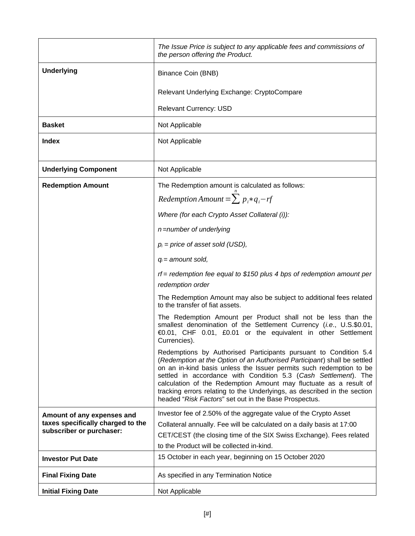|                                                               | The Issue Price is subject to any applicable fees and commissions of<br>the person offering the Product.                                                                                                                                                                                                                                                                                                                                                                                         |
|---------------------------------------------------------------|--------------------------------------------------------------------------------------------------------------------------------------------------------------------------------------------------------------------------------------------------------------------------------------------------------------------------------------------------------------------------------------------------------------------------------------------------------------------------------------------------|
| <b>Underlying</b>                                             | Binance Coin (BNB)                                                                                                                                                                                                                                                                                                                                                                                                                                                                               |
|                                                               | Relevant Underlying Exchange: CryptoCompare                                                                                                                                                                                                                                                                                                                                                                                                                                                      |
|                                                               | Relevant Currency: USD                                                                                                                                                                                                                                                                                                                                                                                                                                                                           |
| <b>Basket</b>                                                 | Not Applicable                                                                                                                                                                                                                                                                                                                                                                                                                                                                                   |
| Index                                                         | Not Applicable                                                                                                                                                                                                                                                                                                                                                                                                                                                                                   |
| <b>Underlying Component</b>                                   | Not Applicable                                                                                                                                                                                                                                                                                                                                                                                                                                                                                   |
| <b>Redemption Amount</b>                                      | The Redemption amount is calculated as follows:                                                                                                                                                                                                                                                                                                                                                                                                                                                  |
|                                                               | Redemption Amount = $\sum p_i * q_i - rf$                                                                                                                                                                                                                                                                                                                                                                                                                                                        |
|                                                               | Where (for each Crypto Asset Collateral (i)):                                                                                                                                                                                                                                                                                                                                                                                                                                                    |
|                                                               | n =number of underlying                                                                                                                                                                                                                                                                                                                                                                                                                                                                          |
|                                                               | $p_i$ = price of asset sold (USD),                                                                                                                                                                                                                                                                                                                                                                                                                                                               |
|                                                               | $q_i$ = amount sold,                                                                                                                                                                                                                                                                                                                                                                                                                                                                             |
|                                                               | $rf$ = redemption fee equal to \$150 plus 4 bps of redemption amount per                                                                                                                                                                                                                                                                                                                                                                                                                         |
|                                                               | redemption order                                                                                                                                                                                                                                                                                                                                                                                                                                                                                 |
|                                                               | The Redemption Amount may also be subject to additional fees related<br>to the transfer of fiat assets.                                                                                                                                                                                                                                                                                                                                                                                          |
|                                                               | The Redemption Amount per Product shall not be less than the<br>smallest denomination of the Settlement Currency (i.e., U.S.\$0.01,<br>€0.01, CHF 0.01, £0.01 or the equivalent in other Settlement<br>Currencies).                                                                                                                                                                                                                                                                              |
|                                                               | Redemptions by Authorised Participants pursuant to Condition 5.4<br>(Redemption at the Option of an Authorised Participant) shall be settled<br>on an in-kind basis unless the Issuer permits such redemption to be<br>settled in accordance with Condition 5.3 (Cash Settlement). The<br>calculation of the Redemption Amount may fluctuate as a result of<br>tracking errors relating to the Underlyings, as described in the section<br>headed "Risk Factors" set out in the Base Prospectus. |
| Amount of any expenses and                                    | Investor fee of 2.50% of the aggregate value of the Crypto Asset                                                                                                                                                                                                                                                                                                                                                                                                                                 |
| taxes specifically charged to the<br>subscriber or purchaser: | Collateral annually. Fee will be calculated on a daily basis at 17:00                                                                                                                                                                                                                                                                                                                                                                                                                            |
|                                                               | CET/CEST (the closing time of the SIX Swiss Exchange). Fees related<br>to the Product will be collected in-kind.                                                                                                                                                                                                                                                                                                                                                                                 |
| <b>Investor Put Date</b>                                      | 15 October in each year, beginning on 15 October 2020                                                                                                                                                                                                                                                                                                                                                                                                                                            |
| <b>Final Fixing Date</b>                                      | As specified in any Termination Notice                                                                                                                                                                                                                                                                                                                                                                                                                                                           |
| <b>Initial Fixing Date</b>                                    | Not Applicable                                                                                                                                                                                                                                                                                                                                                                                                                                                                                   |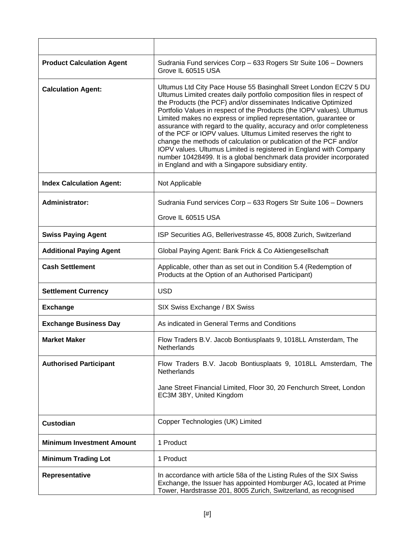| <b>Product Calculation Agent</b> | Sudrania Fund services Corp - 633 Rogers Str Suite 106 - Downers<br>Grove IL 60515 USA                                                                                                                                                                                                                                                                                                                                                                                                                                                                                                                                                                                                                                                                                               |
|----------------------------------|--------------------------------------------------------------------------------------------------------------------------------------------------------------------------------------------------------------------------------------------------------------------------------------------------------------------------------------------------------------------------------------------------------------------------------------------------------------------------------------------------------------------------------------------------------------------------------------------------------------------------------------------------------------------------------------------------------------------------------------------------------------------------------------|
| <b>Calculation Agent:</b>        | Ultumus Ltd City Pace House 55 Basinghall Street London EC2V 5 DU<br>Ultumus Limited creates daily portfolio composition files in respect of<br>the Products (the PCF) and/or disseminates Indicative Optimized<br>Portfolio Values in respect of the Products (the IOPV values). Ultumus<br>Limited makes no express or implied representation, guarantee or<br>assurance with regard to the quality, accuracy and or/or completeness<br>of the PCF or IOPV values. Ultumus Limited reserves the right to<br>change the methods of calculation or publication of the PCF and/or<br>IOPV values. Ultumus Limited is registered in England with Company<br>number 10428499. It is a global benchmark data provider incorporated<br>in England and with a Singapore subsidiary entity. |
| <b>Index Calculation Agent:</b>  | Not Applicable                                                                                                                                                                                                                                                                                                                                                                                                                                                                                                                                                                                                                                                                                                                                                                       |
| <b>Administrator:</b>            | Sudrania Fund services Corp - 633 Rogers Str Suite 106 - Downers<br>Grove IL 60515 USA                                                                                                                                                                                                                                                                                                                                                                                                                                                                                                                                                                                                                                                                                               |
| <b>Swiss Paying Agent</b>        | ISP Securities AG, Bellerivestrasse 45, 8008 Zurich, Switzerland                                                                                                                                                                                                                                                                                                                                                                                                                                                                                                                                                                                                                                                                                                                     |
| <b>Additional Paying Agent</b>   | Global Paying Agent: Bank Frick & Co Aktiengesellschaft                                                                                                                                                                                                                                                                                                                                                                                                                                                                                                                                                                                                                                                                                                                              |
| <b>Cash Settlement</b>           | Applicable, other than as set out in Condition 5.4 (Redemption of<br>Products at the Option of an Authorised Participant)                                                                                                                                                                                                                                                                                                                                                                                                                                                                                                                                                                                                                                                            |
| <b>Settlement Currency</b>       | <b>USD</b>                                                                                                                                                                                                                                                                                                                                                                                                                                                                                                                                                                                                                                                                                                                                                                           |
| <b>Exchange</b>                  | SIX Swiss Exchange / BX Swiss                                                                                                                                                                                                                                                                                                                                                                                                                                                                                                                                                                                                                                                                                                                                                        |
| <b>Exchange Business Day</b>     | As indicated in General Terms and Conditions                                                                                                                                                                                                                                                                                                                                                                                                                                                                                                                                                                                                                                                                                                                                         |
| <b>Market Maker</b>              | Flow Traders B.V. Jacob Bontiusplaats 9, 1018LL Amsterdam, The<br>Netherlands                                                                                                                                                                                                                                                                                                                                                                                                                                                                                                                                                                                                                                                                                                        |
| <b>Authorised Participant</b>    | Flow Traders B.V. Jacob Bontiusplaats 9, 1018LL Amsterdam, The<br>Netherlands<br>Jane Street Financial Limited, Floor 30, 20 Fenchurch Street, London<br>EC3M 3BY, United Kingdom                                                                                                                                                                                                                                                                                                                                                                                                                                                                                                                                                                                                    |
| Custodian                        | Copper Technologies (UK) Limited                                                                                                                                                                                                                                                                                                                                                                                                                                                                                                                                                                                                                                                                                                                                                     |
| <b>Minimum Investment Amount</b> | 1 Product                                                                                                                                                                                                                                                                                                                                                                                                                                                                                                                                                                                                                                                                                                                                                                            |
| <b>Minimum Trading Lot</b>       | 1 Product                                                                                                                                                                                                                                                                                                                                                                                                                                                                                                                                                                                                                                                                                                                                                                            |
| Representative                   | In accordance with article 58a of the Listing Rules of the SIX Swiss<br>Exchange, the Issuer has appointed Homburger AG, located at Prime<br>Tower, Hardstrasse 201, 8005 Zurich, Switzerland, as recognised                                                                                                                                                                                                                                                                                                                                                                                                                                                                                                                                                                         |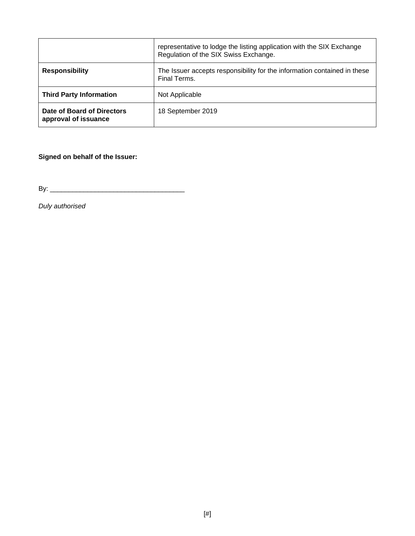|                                                    | representative to lodge the listing application with the SIX Exchange<br>Regulation of the SIX Swiss Exchange. |
|----------------------------------------------------|----------------------------------------------------------------------------------------------------------------|
| <b>Responsibility</b>                              | The Issuer accepts responsibility for the information contained in these<br>Final Terms.                       |
| <b>Third Party Information</b>                     | Not Applicable                                                                                                 |
| Date of Board of Directors<br>approval of issuance | 18 September 2019                                                                                              |

**Signed on behalf of the Issuer:**

By: \_\_\_\_\_\_\_\_\_\_\_\_\_\_\_\_\_\_\_\_\_\_\_\_\_\_\_\_\_\_\_\_\_\_\_\_

*Duly authorised*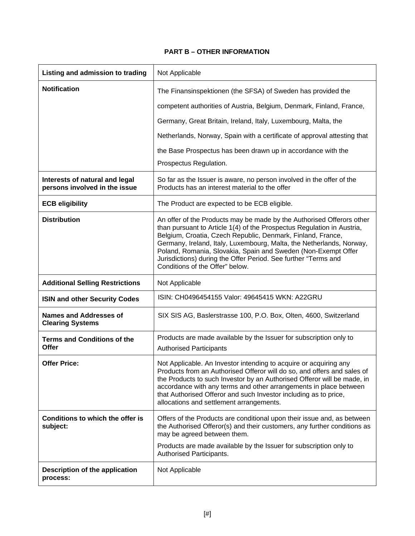# **PART B – OTHER INFORMATION**

| Listing and admission to trading                                | Not Applicable                                                                                                                                                                                                                                                                                                                                                                                                                                               |
|-----------------------------------------------------------------|--------------------------------------------------------------------------------------------------------------------------------------------------------------------------------------------------------------------------------------------------------------------------------------------------------------------------------------------------------------------------------------------------------------------------------------------------------------|
| <b>Notification</b>                                             | The Finansinspektionen (the SFSA) of Sweden has provided the<br>competent authorities of Austria, Belgium, Denmark, Finland, France,                                                                                                                                                                                                                                                                                                                         |
|                                                                 | Germany, Great Britain, Ireland, Italy, Luxembourg, Malta, the                                                                                                                                                                                                                                                                                                                                                                                               |
|                                                                 | Netherlands, Norway, Spain with a certificate of approval attesting that                                                                                                                                                                                                                                                                                                                                                                                     |
|                                                                 | the Base Prospectus has been drawn up in accordance with the                                                                                                                                                                                                                                                                                                                                                                                                 |
|                                                                 | Prospectus Regulation.                                                                                                                                                                                                                                                                                                                                                                                                                                       |
| Interests of natural and legal<br>persons involved in the issue | So far as the Issuer is aware, no person involved in the offer of the<br>Products has an interest material to the offer                                                                                                                                                                                                                                                                                                                                      |
| <b>ECB eligibility</b>                                          | The Product are expected to be ECB eligible.                                                                                                                                                                                                                                                                                                                                                                                                                 |
| <b>Distribution</b>                                             | An offer of the Products may be made by the Authorised Offerors other<br>than pursuant to Article 1(4) of the Prospectus Regulation in Austria,<br>Belgium, Croatia, Czech Republic, Denmark, Finland, France,<br>Germany, Ireland, Italy, Luxembourg, Malta, the Netherlands, Norway,<br>Poland, Romania, Slovakia, Spain and Sweden (Non-Exempt Offer<br>Jurisdictions) during the Offer Period. See further "Terms and<br>Conditions of the Offer" below. |
|                                                                 |                                                                                                                                                                                                                                                                                                                                                                                                                                                              |
| <b>Additional Selling Restrictions</b>                          | Not Applicable                                                                                                                                                                                                                                                                                                                                                                                                                                               |
| <b>ISIN and other Security Codes</b>                            | ISIN: CH0496454155 Valor: 49645415 WKN: A22GRU                                                                                                                                                                                                                                                                                                                                                                                                               |
| <b>Names and Addresses of</b><br><b>Clearing Systems</b>        | SIX SIS AG, Baslerstrasse 100, P.O. Box, Olten, 4600, Switzerland                                                                                                                                                                                                                                                                                                                                                                                            |
| <b>Terms and Conditions of the</b><br><b>Offer</b>              | Products are made available by the Issuer for subscription only to<br><b>Authorised Participants</b>                                                                                                                                                                                                                                                                                                                                                         |
| <b>Offer Price:</b>                                             | Not Applicable. An Investor intending to acquire or acquiring any<br>Products from an Authorised Offeror will do so, and offers and sales of<br>the Products to such Investor by an Authorised Offeror will be made, in<br>accordance with any terms and other arrangements in place between<br>that Authorised Offeror and such Investor including as to price,<br>allocations and settlement arrangements.                                                 |
| Conditions to which the offer is<br>subject:                    | Offers of the Products are conditional upon their issue and, as between<br>the Authorised Offeror(s) and their customers, any further conditions as<br>may be agreed between them.                                                                                                                                                                                                                                                                           |
|                                                                 | Products are made available by the Issuer for subscription only to<br>Authorised Participants.                                                                                                                                                                                                                                                                                                                                                               |